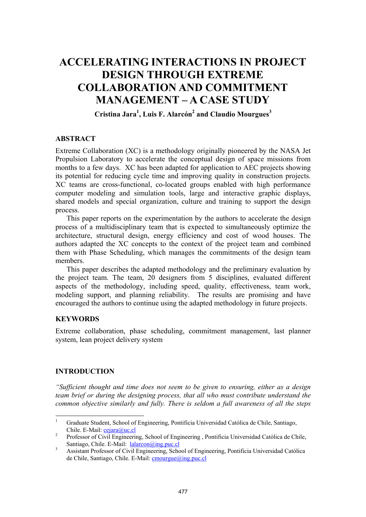# **ACCELERATING INTERACTIONS IN PROJECT DESIGN THROUGH EXTREME COLLABORATION AND COMMITMENT MANAGEMENT – A CASE STUDY**

**Cristina Jara1 , Luis F. Alarcón2 and Claudio Mourgues<sup>3</sup>**

## **ABSTRACT**

Extreme Collaboration (XC) is a methodology originally pioneered by the NASA Jet Propulsion Laboratory to accelerate the conceptual design of space missions from months to a few days. XC has been adapted for application to AEC projects showing its potential for reducing cycle time and improving quality in construction projects. XC teams are cross-functional, co-located groups enabled with high performance computer modeling and simulation tools, large and interactive graphic displays, shared models and special organization, culture and training to support the design process.

This paper reports on the experimentation by the authors to accelerate the design process of a multidisciplinary team that is expected to simultaneously optimize the architecture, structural design, energy efficiency and cost of wood houses. The authors adapted the XC concepts to the context of the project team and combined them with Phase Scheduling, which manages the commitments of the design team members.

This paper describes the adapted methodology and the preliminary evaluation by the project team. The team, 20 designers from 5 disciplines, evaluated different aspects of the methodology, including speed, quality, effectiveness, team work, modeling support, and planning reliability. The results are promising and have encouraged the authors to continue using the adapted methodology in future projects.

#### **KEYWORDS**

Extreme collaboration, phase scheduling, commitment management, last planner system, lean project delivery system

## **INTRODUCTION**

*"Sufficient thought and time does not seem to be given to ensuring, either as a design team brief or during the designing process, that all who must contribute understand the common objective similarly and fully. There is seldom a full awareness of all the steps* 

 $\frac{1}{1}$ Graduate Student, School of Engineering, Pontificia Universidad Católica de Chile, Santiago,

<sup>2</sup> Chile. E-Mail: <u>cejara@uc.cl</u><br>
2 Professor of Civil Engineering, School of Engineering , Pontificia Universidad Católica de Chile,<br>
Santiago, Chile. E-Mail: <u>Ialarcon@ing.puc.cl</u>

<sup>&</sup>lt;sup>3</sup> Assistant Professor of Civil Engineering, School of Engineering, Pontificia Universidad Católica de Chile, Santiago, Chile. E-Mail: cmourgue@ing.puc.cl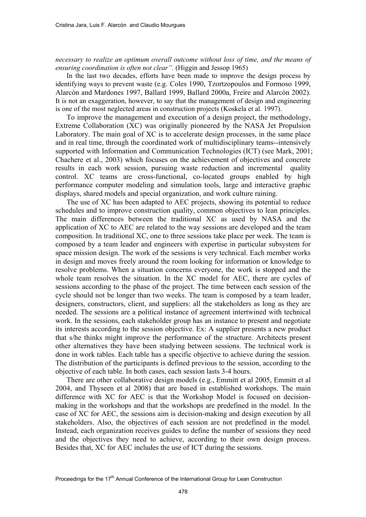*necessary to realize an optimum overall outcome without loss of time, and the means of ensuring coordination is often not clear".* (Higgin and Jessop 1965)

In the last two decades, efforts have been made to improve the design process by identifying ways to prevent waste (e.g. Coles 1990, Tzortzopoulos and Formoso 1999, Alarcón and Mardones 1997, Ballard 1999, Ballard 2000a, Freire and Alarcón 2002). It is not an exaggeration, however, to say that the management of design and engineering is one of the most neglected areas in construction projects (Koskela et al. 1997).

To improve the management and execution of a design project, the methodology, Extreme Collaboration (XC) was originally pioneered by the NASA Jet Propulsion Laboratory. The main goal of XC is to accelerate design processes, in the same place and in real time, through the coordinated work of multidisciplinary teams--intensively supported with Information and Communication Technologies (ICT) (see Mark, 2001; Chachere et al., 2003) which focuses on the achievement of objectives and concrete results in each work session, pursuing waste reduction and incremental quality control. XC teams are cross-functional, co-located groups enabled by high performance computer modeling and simulation tools, large and interactive graphic displays, shared models and special organization, and work culture raining.

The use of XC has been adapted to AEC projects, showing its potential to reduce schedules and to improve construction quality, common objectives to lean principles. The main differences between the traditional XC as used by NASA and the application of XC to AEC are related to the way sessions are developed and the team composition. In traditional XC, one to three sessions take place per week. The team is composed by a team leader and engineers with expertise in particular subsystem for space mission design. The work of the sessions is very technical. Each member works in design and moves freely around the room looking for information or knowledge to resolve problems. When a situation concerns everyone, the work is stopped and the whole team resolves the situation. In the XC model for AEC, there are cycles of sessions according to the phase of the project. The time between each session of the cycle should not be longer than two weeks. The team is composed by a team leader, designers, constructors, client, and suppliers: all the stakeholders as long as they are needed. The sessions are a political instance of agreement intertwined with technical work. In the sessions, each stakeholder group has an instance to present and negotiate its interests according to the session objective. Ex: A supplier presents a new product that s/he thinks might improve the performance of the structure. Architects present other alternatives they have been studying between sessions. The technical work is done in work tables. Each table has a specific objective to achieve during the session. The distribution of the participants is defined previous to the session, according to the objective of each table. In both cases, each session lasts 3-4 hours.

There are other collaborative design models (e.g., Emmitt et al 2005, Emmitt et al 2004, and Thyseen et al 2008) that are based in established workshops. The main difference with XC for AEC is that the Workshop Model is focused on decisionmaking in the workshops and that the workshops are predefined in the model. In the case of XC for AEC, the sessions aim is decision-making and design execution by all stakeholders. Also, the objectives of each session are not predefined in the model. Instead, each organization receives guides to define the number of sessions they need and the objectives they need to achieve, according to their own design process. Besides that, XC for AEC includes the use of ICT during the sessions.

Proceedings for the  $17<sup>th</sup>$  Annual Conference of the International Group for Lean Construction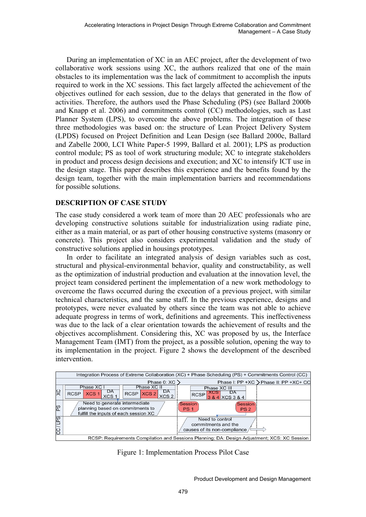During an implementation of XC in an AEC project, after the development of two collaborative work sessions using XC, the authors realized that one of the main obstacles to its implementation was the lack of commitment to accomplish the inputs required to work in the XC sessions. This fact largely affected the achievement of the objectives outlined for each session, due to the delays that generated in the flow of activities. Therefore, the authors used the Phase Scheduling (PS) (see Ballard 2000b and Knapp et al. 2006) and commitments control (CC) methodologies, such as Last Planner System (LPS), to overcome the above problems. The integration of these three methodologies was based on: the structure of Lean Project Delivery System (LPDS) focused on Project Definition and Lean Design (see Ballard 2000c, Ballard and Zabelle 2000, LCI White Paper-5 1999, Ballard et al. 2001); LPS as production control module; PS as tool of work structuring module; XC to integrate stakeholders in product and process design decisions and execution; and XC to intensify ICT use in the design stage. This paper describes this experience and the benefits found by the design team, together with the main implementation barriers and recommendations for possible solutions.

# **DESCRIPTION OF CASE STUDY**

The case study considered a work team of more than 20 AEC professionals who are developing constructive solutions suitable for industrialization using radiate pine, either as a main material, or as part of other housing constructive systems (masonry or concrete). This project also considers experimental validation and the study of constructive solutions applied in housings prototypes.

In order to facilitate an integrated analysis of design variables such as cost, structural and physical-environmental behavior, quality and constructability, as well as the optimization of industrial production and evaluation at the innovation level, the project team considered pertinent the implementation of a new work methodology to overcome the flaws occurred during the execution of a previous project, with similar technical characteristics, and the same staff. In the previous experience, designs and prototypes, were never evaluated by others since the team was not able to achieve adequate progress in terms of work, definitions and agreements. This ineffectiveness was due to the lack of a clear orientation towards the achievement of results and the objectives accomplishment. Considering this, XC was proposed by us, the Interface Management Team (IMT) from the project, as a possible solution, opening the way to its implementation in the project. Figure 2 shows the development of the described intervention.

| Integration Process of Extreme Collaboration (XC) + Phase Scheduling (PS) + Commitments Control (CC) |                                                                                                                       |                                                                        |  |  |
|------------------------------------------------------------------------------------------------------|-----------------------------------------------------------------------------------------------------------------------|------------------------------------------------------------------------|--|--|
|                                                                                                      | Phase 0: XC                                                                                                           | Phase I: PP +XC > Phase II: PP +XC+ CC                                 |  |  |
| <b>XC</b>                                                                                            | Phase XC II<br>Phase XC<br>DA<br>DA<br>XCS 2<br>$RCSP$ $XCS$ 2<br>XCS <sub>1</sub><br><b>RCSP</b><br>XCS <sub>1</sub> | Phase XC III<br>DA<br>XCS<br><b>RCSP</b><br>3 & 4 XCS 3 & 4            |  |  |
| Sd                                                                                                   | Need to generate intermediate<br>planning based on commitments to<br>fulfill the inputs of each session XC            | Session<br>Session<br>PS <sub>1</sub><br>PS <sub>2</sub>               |  |  |
| CC/LPS                                                                                               |                                                                                                                       | Need to control<br>commitments and the<br>causes of its non-compliance |  |  |
| RCSP: Requirements Compilation and Sessions Planning; DA: Design Adjustment; XCS: XC Session         |                                                                                                                       |                                                                        |  |  |

Figure 1: Implementation Process Pilot Case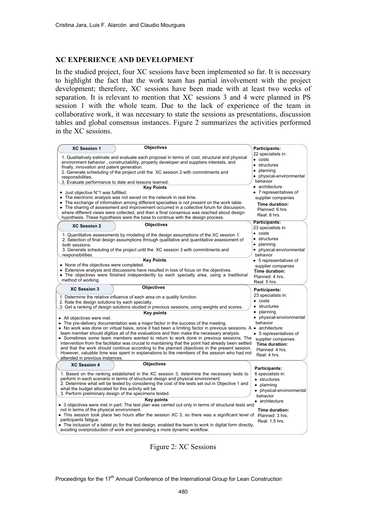#### **XC EXPERIENCE AND DEVELOPMENT**

In the studied project, four XC sessions have been implemented so far. It is necessary to highlight the fact that the work team has partial involvement with the project development; therefore, XC sessions have been made with at least two weeks of separation. It is relevant to mention that XC sessions 3 and 4 were planned in PS session 1 with the whole team. Due to the lack of experience of the team in collaborative work, it was necessary to state the sessions as presentations, discussion tables and global consensus instances. Figure 2 summarizes the activities performed in the XC sessions.

| <b>Objectives</b><br><b>XC Session 1</b>                                                                                                                                                    | Participants:              |
|---------------------------------------------------------------------------------------------------------------------------------------------------------------------------------------------|----------------------------|
| 1. Qualitatively estimate and evaluate each proposal in terms of: cost, structural and physical                                                                                             | 22 specialists in:         |
| environment behavior, constructability, property developer and suppliers interests, and                                                                                                     | $\bullet$ costs            |
| finally, innovation and patent generation.                                                                                                                                                  | • structures<br>• planning |
| 2. Generate scheduling of the project until the XC session 2 with commitments and                                                                                                           |                            |
| responsibilities.                                                                                                                                                                           | • physical-environmental   |
| 3. Evaluate performance to date and lessons learned.                                                                                                                                        | behavior                   |
| <b>Kev Points</b>                                                                                                                                                                           | • architecture             |
| $\bullet$ Just objective N°1 was fulfilled.                                                                                                                                                 | • 7 representatives of     |
| • The electronic analysis was not saved on the network in real time.<br>• The exchange of information among different specialties is not present on the work table.                         | supplier companies         |
| • The sharing of assessment and improvement occurred in a collective forum for discussion,                                                                                                  | Time duration:             |
| where different views were collected, and then a final consensus was reached about design                                                                                                   | Planned: 6 hrs.            |
| hypothesis. These hypothesis were the base to continue with the design process.                                                                                                             | Real: 8 hrs.               |
| <b>Objectives</b><br><b>XC Session 2</b>                                                                                                                                                    | Participants:              |
|                                                                                                                                                                                             | 23 specialists in:         |
| 1. Quantitative assessments by modeling of the design assumptions of the XC session 1.                                                                                                      | $\bullet$ costs            |
| 2. Selection of final design assumptions through qualitative and quantitative assessment of                                                                                                 | • structures               |
| both sessions.                                                                                                                                                                              | • planning                 |
| 3. Generate scheduling of the project until the XC session 3 with commitments and                                                                                                           | • physical-environmental   |
| responsibilities.                                                                                                                                                                           | behavior                   |
| <b>Key Points</b>                                                                                                                                                                           | • 5 representatives of     |
| • None of the objectives were completed.                                                                                                                                                    | supplier companies         |
| • Extensive analysis and discussions have resulted in loss of focus on the objectives.                                                                                                      | Time duration:             |
| • The objectives were finished independently by each specialty area, using a traditional<br>method of working.                                                                              | Planned: 4 hrs.            |
|                                                                                                                                                                                             | Real: 5 hrs.               |
| <b>Objectives</b><br><b>XC Session 3</b>                                                                                                                                                    | Participants:              |
| 1. Determine the relative influence of each area on a quality function.                                                                                                                     | 23 specialists in:         |
| 2. Rate the design solutions by each specialty.                                                                                                                                             | $\bullet$ costs            |
| 3. Get a ranking of design solutions studied in previous sessions, using weights and scores.                                                                                                | • structures               |
| <b>Key points</b>                                                                                                                                                                           | • planning                 |
| • All objectives were met.                                                                                                                                                                  | • physical-environmental   |
| • The pre-delivery documentation was a major factor in the success of the meeting.                                                                                                          | behavior                   |
| • No work was done on virtual basis, since it had been a limiting factor in previous sessions. A • architecture                                                                             |                            |
| team member should digitize all of the evaluations and then make the necessary analysis.                                                                                                    | • 5 representatives of     |
| • Sometimes some team members wanted to return to work done in previous sessions. The                                                                                                       | supplier companies         |
| intervention from the facilitator was crucial to mantaining that the point had already been settled                                                                                         | Time duration:             |
| and that the work should continue according to the planned objectives in the present session.<br>However, valuable time was spent in explanations to the members of the session who had not | Planned: 4 hrs.            |
| attended in previous instances.                                                                                                                                                             | Real: 4 hrs.               |
| <b>Objectives</b><br><b>XC Session 4</b>                                                                                                                                                    |                            |
|                                                                                                                                                                                             | Participants:              |
| 1. Based on the ranking established in the XC session 3, determine the necessary tests to                                                                                                   | 6 specialists in:          |
| perform in each scenario in terms of structural design and physical environment.                                                                                                            | • structures               |
| 2. Determine what will be tested by considering the cost of the tests set out in Objective 1 and                                                                                            | • planning                 |
| what the budget allocated for this activity will be.                                                                                                                                        | • physical-environmental   |
| 3. Perform preliminary design of the specimens tested.                                                                                                                                      | behavior                   |
| <b>Key points</b><br>• 3 objectives were met in part. The test plan was carried out only in terms of structural tests and                                                                   | • architecture             |
| not in terms of the physical environment.                                                                                                                                                   | Time duration:             |
| • This session took place two hours after the session XC 3, so there was a significant level of                                                                                             | Planned: 3 hrs.            |
| participants fatique.                                                                                                                                                                       | Real: 1,5 hrs.             |
| • The inclusion of a tablet pc for the test design, enabled the team to work in digital form directly,                                                                                      |                            |
| avoiding overproduction of work and generating a more dynamic workflow.                                                                                                                     |                            |

Figure 2: XC Sessions

Proceedings for the 17<sup>th</sup> Annual Conference of the International Group for Lean Construction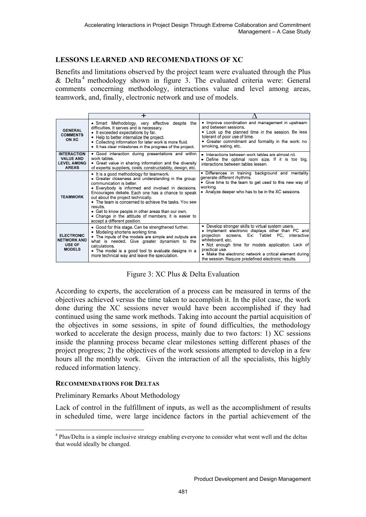# **LESSONS LEARNED AND RECOMENDATIONS OF XC**

Benefits and limitations observed by the project team were evaluated through the Plus  $& Delta<sup>4</sup> methodology shown in figure 3. The evaluated criteria were: General$ comments concerning methodology, interactions value and level among areas, teamwork, and, finally, electronic network and use of models.

|                                                                              | ┿                                                                                                                                                                                                                                                                                                                                                                                                                                                                                              |                                                                                                                                                                                                                                                                                                                                                                           |
|------------------------------------------------------------------------------|------------------------------------------------------------------------------------------------------------------------------------------------------------------------------------------------------------------------------------------------------------------------------------------------------------------------------------------------------------------------------------------------------------------------------------------------------------------------------------------------|---------------------------------------------------------------------------------------------------------------------------------------------------------------------------------------------------------------------------------------------------------------------------------------------------------------------------------------------------------------------------|
| <b>GENERAL</b><br><b>COMMENTS</b><br>ON XC                                   | • Smart Methodology, very effective despite the<br>difficulties. It serves and is necessary.<br>• It exceeded expectations by far.<br>• Help to better internalize the project.<br>• Collecting information for later work is more fluid.<br>• It has clear milestones in the progress of the project.                                                                                                                                                                                         | • Improve coordination and management in upstream<br>and between sessions.<br>• Look up the planned time in the session. Be less<br>tolerant of poor use of time.<br>• Greater commitment and formality in the work: no<br>smoking, eating, etc.                                                                                                                          |
| <b>INTERACTION</b><br><b>VALUE AND</b><br><b>LEVEL AMONG</b><br><b>AREAS</b> | • Good interaction during presentations and within<br>work tables.<br>• Great value in sharing information and the diversity<br>of experts: suppliers, costs, constructability, design, etc.                                                                                                                                                                                                                                                                                                   | • Interactions between work tables are almost nil.<br>• Define the optimal room size. If it is too big,<br>interactions between tables lessen.                                                                                                                                                                                                                            |
| <b>TEAMWORK</b>                                                              | • It is a good methodology for teamwork.<br>• Greater closeness and understanding in the group:<br>communication is better.<br>• Everybody is informed and involved in decisions.<br>Encourages debate. Each one has a chance to speak<br>out about the project technically.<br>• The team is concerned to achieve the tasks. You see<br>results.<br>• Get to know people in other areas than our own.<br>• Change in the attitude of members, it is easier to<br>accept a different position. | • Differences in training background and mentality<br>generate different rhythms.<br>• Give time to the team to get used to this new way of<br>workina.<br>• Analyze deeper who has to be in the XC sessions.                                                                                                                                                             |
| <b>ELECTRONIC</b><br><b>NETWORK AND</b><br>USE OF<br><b>MODELS</b>           | • Good for this stage. Can be strengthened further.<br>Modeling shortens working time.<br>• The inputs of the models are simple and outputs are<br>what is needed. Give greater dynamism to the<br>calculations.<br>• The model is a good tool to evaluate designs in a<br>more technical way and leave the speculation.                                                                                                                                                                       | • Develop stronger skills to virtual system users.<br>• Implement electronic displays other than PC and<br>screens. Ex: Tablet PC, interactive<br>projection<br>whiteboard, etc.<br>• Not enough time for models application. Lack of<br>practical use.<br>• Make the electronic network a critical element during<br>the session. Require predefined electronic results. |

Figure 3: XC Plus & Delta Evaluation

According to experts, the acceleration of a process can be measured in terms of the objectives achieved versus the time taken to accomplish it. In the pilot case, the work done during the XC sessions never would have been accomplished if they had continued using the same work methods. Taking into account the partial acquisition of the objectives in some sessions, in spite of found difficulties, the methodology worked to accelerate the design process, mainly due to two factors: 1) XC sessions inside the planning process became clear milestones setting different phases of the project progress; 2) the objectives of the work sessions attempted to develop in a few hours all the monthly work. Given the interaction of all the specialists, this highly reduced information latency.

## **RECOMMENDATIONS FOR DELTAS**

 $\overline{a}$ 

Preliminary Remarks About Methodology

Lack of control in the fulfillment of inputs, as well as the accomplishment of results in scheduled time, were large incidence factors in the partial achievement of the

<sup>&</sup>lt;sup>4</sup> Plus/Delta is a simple inclusive strategy enabling everyone to consider what went well and the deltas that would ideally be changed.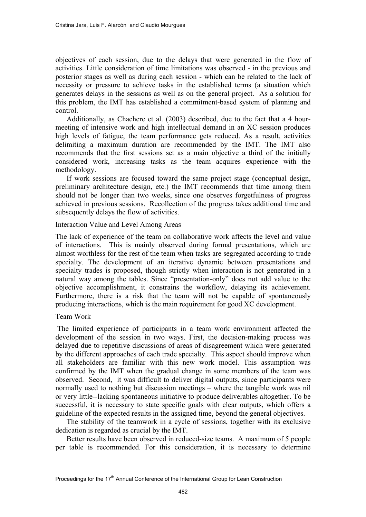objectives of each session, due to the delays that were generated in the flow of activities. Little consideration of time limitations was observed - in the previous and posterior stages as well as during each session - which can be related to the lack of necessity or pressure to achieve tasks in the established terms (a situation which generates delays in the sessions as well as on the general project. As a solution for this problem, the IMT has established a commitment-based system of planning and control.

Additionally, as Chachere et al. (2003) described, due to the fact that a 4 hourmeeting of intensive work and high intellectual demand in an XC session produces high levels of fatigue, the team performance gets reduced. As a result, activities delimiting a maximum duration are recommended by the IMT. The IMT also recommends that the first sessions set as a main objective a third of the initially considered work, increasing tasks as the team acquires experience with the methodology.

If work sessions are focused toward the same project stage (conceptual design, preliminary architecture design, etc.) the IMT recommends that time among them should not be longer than two weeks, since one observes forgetfulness of progress achieved in previous sessions. Recollection of the progress takes additional time and subsequently delays the flow of activities.

### Interaction Value and Level Among Areas

The lack of experience of the team on collaborative work affects the level and value of interactions. This is mainly observed during formal presentations, which are almost worthless for the rest of the team when tasks are segregated according to trade specialty. The development of an iterative dynamic between presentations and specialty trades is proposed, though strictly when interaction is not generated in a natural way among the tables. Since "presentation-only" does not add value to the objective accomplishment, it constrains the workflow, delaying its achievement. Furthermore, there is a risk that the team will not be capable of spontaneously producing interactions, which is the main requirement for good XC development.

## Team Work

 The limited experience of participants in a team work environment affected the development of the session in two ways. First, the decision-making process was delayed due to repetitive discussions of areas of disagreement which were generated by the different approaches of each trade specialty. This aspect should improve when all stakeholders are familiar with this new work model. This assumption was confirmed by the IMT when the gradual change in some members of the team was observed. Second, it was difficult to deliver digital outputs, since participants were normally used to nothing but discussion meetings – where the tangible work was nil or very little--lacking spontaneous initiative to produce deliverables altogether. To be successful, it is necessary to state specific goals with clear outputs, which offers a guideline of the expected results in the assigned time, beyond the general objectives.

The stability of the teamwork in a cycle of sessions, together with its exclusive dedication is regarded as crucial by the IMT.

Better results have been observed in reduced-size teams. A maximum of 5 people per table is recommended. For this consideration, it is necessary to determine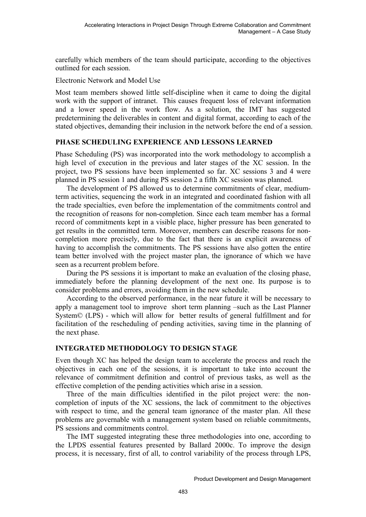carefully which members of the team should participate, according to the objectives outlined for each session.

Electronic Network and Model Use

Most team members showed little self-discipline when it came to doing the digital work with the support of intranet. This causes frequent loss of relevant information and a lower speed in the work flow. As a solution, the IMT has suggested predetermining the deliverables in content and digital format, according to each of the stated objectives, demanding their inclusion in the network before the end of a session.

# **PHASE SCHEDULING EXPERIENCE AND LESSONS LEARNED**

Phase Scheduling (PS) was incorporated into the work methodology to accomplish a high level of execution in the previous and later stages of the XC session. In the project, two PS sessions have been implemented so far. XC sessions 3 and 4 were planned in PS session 1 and during PS session 2 a fifth XC session was planned.

The development of PS allowed us to determine commitments of clear, mediumterm activities, sequencing the work in an integrated and coordinated fashion with all the trade specialties, even before the implementation of the commitments control and the recognition of reasons for non-completion. Since each team member has a formal record of commitments kept in a visible place, higher pressure has been generated to get results in the committed term. Moreover, members can describe reasons for noncompletion more precisely, due to the fact that there is an explicit awareness of having to accomplish the commitments. The PS sessions have also gotten the entire team better involved with the project master plan, the ignorance of which we have seen as a recurrent problem before.

During the PS sessions it is important to make an evaluation of the closing phase, immediately before the planning development of the next one. Its purpose is to consider problems and errors, avoiding them in the new schedule.

According to the observed performance, in the near future it will be necessary to apply a management tool to improve short term planning –such as the Last Planner System© (LPS) - which will allow for better results of general fulfillment and for facilitation of the rescheduling of pending activities, saving time in the planning of the next phase.

# **INTEGRATED METHODOLOGY TO DESIGN STAGE**

Even though XC has helped the design team to accelerate the process and reach the objectives in each one of the sessions, it is important to take into account the relevance of commitment definition and control of previous tasks, as well as the effective completion of the pending activities which arise in a session.

Three of the main difficulties identified in the pilot project were: the noncompletion of inputs of the XC sessions, the lack of commitment to the objectives with respect to time, and the general team ignorance of the master plan. All these problems are governable with a management system based on reliable commitments, PS sessions and commitments control.

The IMT suggested integrating these three methodologies into one, according to the LPDS essential features presented by Ballard 2000c. To improve the design process, it is necessary, first of all, to control variability of the process through LPS,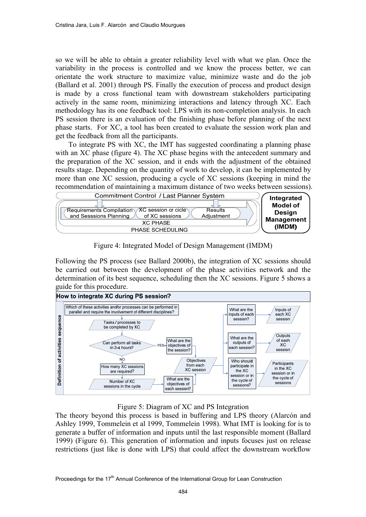so we will be able to obtain a greater reliability level with what we plan. Once the variability in the process is controlled and we know the process better, we can orientate the work structure to maximize value, minimize waste and do the job (Ballard et al. 2001) through PS. Finally the execution of process and product design is made by a cross functional team with downstream stakeholders participating actively in the same room, minimizing interactions and latency through XC. Each methodology has its one feedback tool: LPS with its non-completion analysis. In each PS session there is an evaluation of the finishing phase before planning of the next phase starts. For XC, a tool has been created to evaluate the session work plan and get the feedback from all the participants.

 To integrate PS with XC, the IMT has suggested coordinating a planning phase with an XC phase (figure 4). The XC phase begins with the antecedent summary and the preparation of the XC session, and it ends with the adjustment of the obtained results stage. Depending on the quantity of work to develop, it can be implemented by more than one XC session, producing a cycle of XC sessions (keeping in mind the recommendation of maintaining a maximum distance of two weeks between sessions).



Figure 4: Integrated Model of Design Management (IMDM)

Following the PS process (see Ballard 2000b), the integration of XC sessions should be carried out between the development of the phase activities network and the determination of its best sequence, scheduling then the XC sessions. Figure 5 shows a guide for this procedure.



Figure 5: Diagram of XC and PS Integration

The theory beyond this process is based in buffering and LPS theory (Alarcón and Ashley 1999, Tommelein et al 1999, Tommelein 1998). What IMT is looking for is to generate a buffer of information and inputs until the last responsible moment (Ballard 1999) (Figure 6). This generation of information and inputs focuses just on release restrictions (just like is done with LPS) that could affect the downstream workflow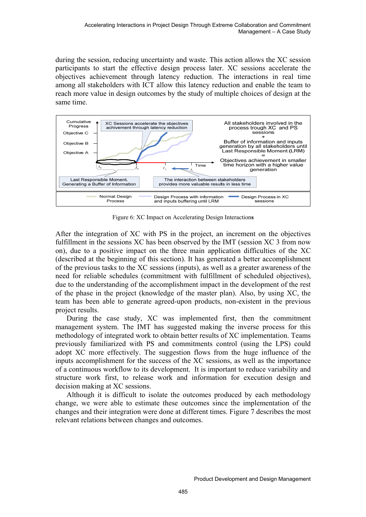during the session, reducing uncertainty and waste. This action allows the XC session participants to start the effective design process later. XC sessions accelerate the objectives achievement through latency reduction. The interactions in real time among all stakeholders with ICT allow this latency reduction and enable the team to reach more value in design outcomes by the study of multiple choices of design at the same time.



Figure 6: XC Impact on Accelerating Design Interaction**s** 

After the integration of XC with PS in the project, an increment on the objectives fulfillment in the sessions XC has been observed by the IMT (session XC 3 from now on), due to a positive impact on the three main application difficulties of the XC (described at the beginning of this section). It has generated a better accomplishment of the previous tasks to the XC sessions (inputs), as well as a greater awareness of the need for reliable schedules (commitment with fulfillment of scheduled objectives), due to the understanding of the accomplishment impact in the development of the rest of the phase in the project (knowledge of the master plan). Also, by using XC, the team has been able to generate agreed-upon products, non-existent in the previous project results.

During the case study, XC was implemented first, then the commitment management system. The IMT has suggested making the inverse process for this methodology of integrated work to obtain better results of XC implementation. Teams previously familiarized with PS and commitments control (using the LPS) could adopt XC more effectively. The suggestion flows from the huge influence of the inputs accomplishment for the success of the XC sessions, as well as the importance of a continuous workflow to its development. It is important to reduce variability and structure work first, to release work and information for execution design and decision making at XC sessions.

Although it is difficult to isolate the outcomes produced by each methodology change, we were able to estimate these outcomes since the implementation of the changes and their integration were done at different times. Figure 7 describes the most relevant relations between changes and outcomes.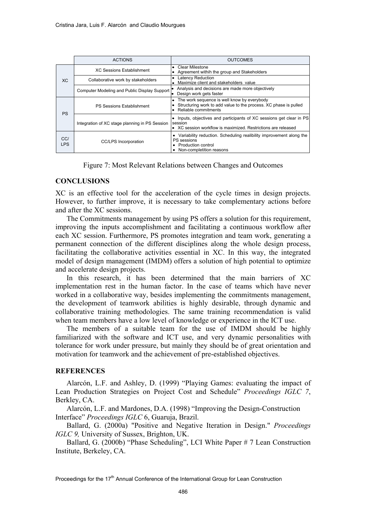|                   | <b>ACTIONS</b>                                 | <b>OUTCOMES</b>                                                                                                                                           |
|-------------------|------------------------------------------------|-----------------------------------------------------------------------------------------------------------------------------------------------------------|
|                   | <b>XC Sessions Establishment</b>               | Clear Milestone<br>$\bullet$<br>Agreement withih the group and Stakeholders<br>۰                                                                          |
| XC                | Collaborative work by stakeholders             | Latency Reduction<br>$\bullet$<br>Maximize client and stakeholders value<br>$\bullet$                                                                     |
|                   | Computer Modeling and Public Display Support   | Analysis and decisions are made more objectively<br>Design work gets faster<br>lo                                                                         |
| <b>PS</b>         | <b>PS Sessions Establishment</b>               | The work sequence is well know by everybody<br>٠<br>Structuring work to add value to the process. XC phase is pulled<br>Reliable commitments<br>$\bullet$ |
|                   | Integration of XC stage planning in PS Session | Inputs, objectives and participants of XC sessions get clear in PS<br>session<br>• XC session workflow is maximized. Restrictions are released            |
| CC/<br><b>LPS</b> | <b>CC/LPS</b> Incorporation                    | • Variability reduction. Scheduling realibility improvement along the<br>PS sessions<br>• Production control<br>Non-completition reasons                  |



### **CONCLUSIONS**

XC is an effective tool for the acceleration of the cycle times in design projects. However, to further improve, it is necessary to take complementary actions before and after the XC sessions.

The Commitments management by using PS offers a solution for this requirement, improving the inputs accomplishment and facilitating a continuous workflow after each XC session. Furthermore, PS promotes integration and team work, generating a permanent connection of the different disciplines along the whole design process, facilitating the collaborative activities essential in XC. In this way, the integrated model of design management (IMDM) offers a solution of high potential to optimize and accelerate design projects.

In this research, it has been determined that the main barriers of XC implementation rest in the human factor. In the case of teams which have never worked in a collaborative way, besides implementing the commitments management, the development of teamwork abilities is highly desirable, through dynamic and collaborative training methodologies. The same training recommendation is valid when team members have a low level of knowledge or experience in the ICT use.

The members of a suitable team for the use of IMDM should be highly familiarized with the software and ICT use, and very dynamic personalities with tolerance for work under pressure, but mainly they should be of great orientation and motivation for teamwork and the achievement of pre-established objectives.

### **REFERENCES**

Alarcón, L.F. and Ashley, D. (1999) "Playing Games: evaluating the impact of Lean Production Strategies on Project Cost and Schedule" *Proceedings IGLC 7*, Berkley, CA.

Alarcón, L.F. and Mardones, D.A. (1998) "Improving the Design-Construction Interface" *Proceedings IGLC* 6, Guaruja, Brazil.

Ballard, G. (2000a) "Positive and Negative Iteration in Design." *Proceedings IGLC 9,* University of Sussex, Brighton, UK.

Ballard, G. (2000b) "Phase Scheduling", LCI White Paper # 7 Lean Construction Institute, Berkeley, CA.

Proceedings for the 17<sup>th</sup> Annual Conference of the International Group for Lean Construction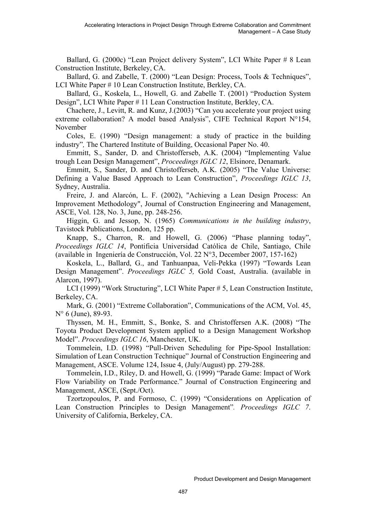Ballard, G. (2000c) "Lean Project delivery System", LCI White Paper # 8 Lean Construction Institute, Berkeley, CA.

Ballard, G. and Zabelle, T. (2000) "Lean Design: Process, Tools & Techniques", LCI White Paper # 10 Lean Construction Institute, Berkley, CA.

Ballard, G., Koskela, L., Howell, G. and Zabelle T. (2001) "Production System Design", LCI White Paper # 11 Lean Construction Institute, Berkley, CA.

Chachere, J., Levitt, R. and Kunz, J.(2003) "Can you accelerate your project using extreme collaboration? A model based Analysis", CIFE Technical Report N°154, November

Coles, E. (1990) "Design management: a study of practice in the building industry"*,* The Chartered Institute of Building, Occasional Paper No. 40.

Emmitt, S., Sander, D. and Christofferseb, A.K. (2004) "Implementing Value trough Lean Design Management", *Proceedings IGLC 12*, Elsinore, Denamark.

Emmitt, S., Sander, D. and Christofferseb, A.K. (2005) "The Value Universe: Defining a Value Based Approach to Lean Construction", *Proceedings IGLC 13*, Sydney, Australia.

Freire, J. and Alarcón, L. F. (2002), "Achieving a Lean Design Process: An Improvement Methodology", Journal of Construction Engineering and Management, ASCE, Vol. 128, No. 3, June, pp. 248-256.

Higgin, G. and Jessop, N. (1965) *Communications in the building industry*, Tavistock Publications, London, 125 pp.

Knapp, S., Charron, R. and Howell, G. (2006) "Phase planning today", *Proceedings IGLC 14*, Pontificia Universidad Católica de Chile, Santiago, Chile (available in Ingeniería de Construcción, Vol. 22 N°3, December 2007, 157-162)

Koskela, L., Ballard, G., and Tanhuanpaa, Veli-Pekka (1997) "Towards Lean Design Management". *Proceedings IGLC 5,* Gold Coast, Australia. (available in Alarcon, 1997).

LCI (1999) "Work Structuring", LCI White Paper # 5, Lean Construction Institute, Berkeley, CA.

Mark, G. (2001) "Extreme Collaboration", Communications of the ACM, Vol. 45, N° 6 (June), 89-93.

Thyssen, M. H., Emmitt, S., Bonke, S. and Christoffersen A.K. (2008) "The Toyota Product Development System applied to a Design Management Workshop Model". *Proceedings IGLC 16*, Manchester, UK.

Tommelein, I.D. (1998) "Pull-Driven Scheduling for Pipe-Spool Installation: Simulation of Lean Construction Technique" Journal of Construction Engineering and Management, ASCE. Volume 124, Issue 4, (July/August) pp. 279-288.

Tommelein, I.D., Riley, D. and Howell, G. (1999) "Parade Game: Impact of Work Flow Variability on Trade Performance." Journal of Construction Engineering and Management, ASCE, (Sept./Oct).

Tzortzopoulos, P. and Formoso, C. (1999) "Considerations on Application of Lean Construction Principles to Design Management"*. Proceedings IGLC 7*. University of California, Berkeley, CA.